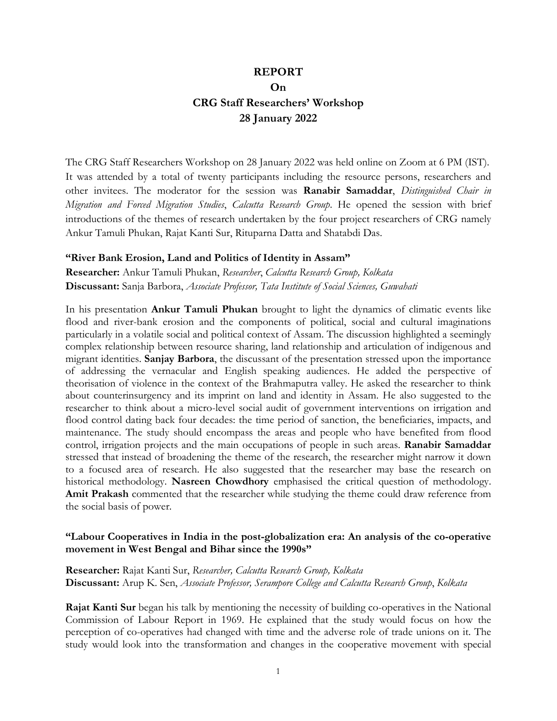# REPORT On CRG Staff Researchers' Workshop 28 January 2022

The CRG Staff Researchers Workshop on 28 January 2022 was held online on Zoom at 6 PM (IST). It was attended by a total of twenty participants including the resource persons, researchers and other invitees. The moderator for the session was Ranabir Samaddar, Distinguished Chair in Migration and Forced Migration Studies, Calcutta Research Group. He opened the session with brief introductions of the themes of research undertaken by the four project researchers of CRG namely Ankur Tamuli Phukan, Rajat Kanti Sur, Rituparna Datta and Shatabdi Das.

#### "River Bank Erosion, Land and Politics of Identity in Assam"

Researcher: Ankur Tamuli Phukan, Researcher, Calcutta Research Group, Kolkata Discussant: Sanja Barbora, Associate Professor, Tata Institute of Social Sciences, Guwahati

In his presentation **Ankur Tamuli Phukan** brought to light the dynamics of climatic events like flood and river-bank erosion and the components of political, social and cultural imaginations particularly in a volatile social and political context of Assam. The discussion highlighted a seemingly complex relationship between resource sharing, land relationship and articulation of indigenous and migrant identities. Sanjay Barbora, the discussant of the presentation stressed upon the importance of addressing the vernacular and English speaking audiences. He added the perspective of theorisation of violence in the context of the Brahmaputra valley. He asked the researcher to think about counterinsurgency and its imprint on land and identity in Assam. He also suggested to the researcher to think about a micro-level social audit of government interventions on irrigation and flood control dating back four decades: the time period of sanction, the beneficiaries, impacts, and maintenance. The study should encompass the areas and people who have benefited from flood control, irrigation projects and the main occupations of people in such areas. **Ranabir Samaddar** stressed that instead of broadening the theme of the research, the researcher might narrow it down to a focused area of research. He also suggested that the researcher may base the research on historical methodology. Nasreen Chowdhory emphasised the critical question of methodology. Amit Prakash commented that the researcher while studying the theme could draw reference from the social basis of power.

#### "Labour Cooperatives in India in the post-globalization era: An analysis of the co-operative movement in West Bengal and Bihar since the 1990s"

Researcher: Rajat Kanti Sur, Researcher, Calcutta Research Group, Kolkata Discussant: Arup K. Sen, Associate Professor, Serampore College and Calcutta Research Group, Kolkata

Rajat Kanti Sur began his talk by mentioning the necessity of building co-operatives in the National Commission of Labour Report in 1969. He explained that the study would focus on how the perception of co-operatives had changed with time and the adverse role of trade unions on it. The study would look into the transformation and changes in the cooperative movement with special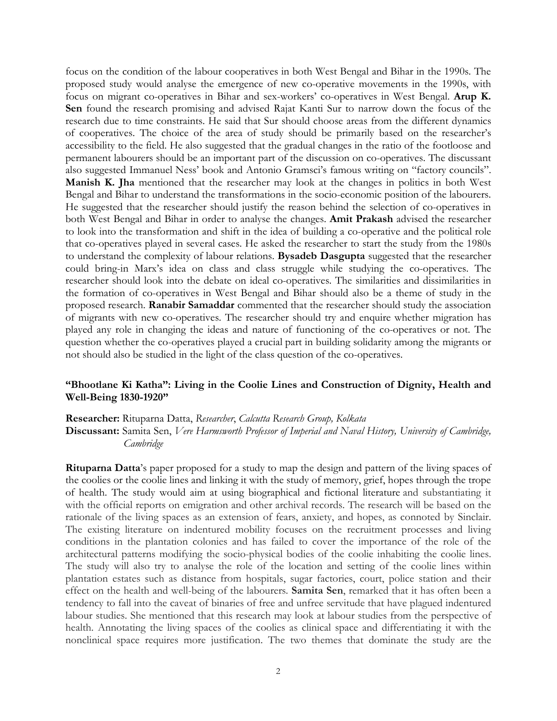focus on the condition of the labour cooperatives in both West Bengal and Bihar in the 1990s. The proposed study would analyse the emergence of new co-operative movements in the 1990s, with focus on migrant co-operatives in Bihar and sex-workers' co-operatives in West Bengal. Arup K. Sen found the research promising and advised Rajat Kanti Sur to narrow down the focus of the research due to time constraints. He said that Sur should choose areas from the different dynamics of cooperatives. The choice of the area of study should be primarily based on the researcher's accessibility to the field. He also suggested that the gradual changes in the ratio of the footloose and permanent labourers should be an important part of the discussion on co-operatives. The discussant also suggested Immanuel Ness' book and Antonio Gramsci's famous writing on "factory councils". Manish K. Jha mentioned that the researcher may look at the changes in politics in both West Bengal and Bihar to understand the transformations in the socio-economic position of the labourers. He suggested that the researcher should justify the reason behind the selection of co-operatives in both West Bengal and Bihar in order to analyse the changes. Amit Prakash advised the researcher to look into the transformation and shift in the idea of building a co-operative and the political role that co-operatives played in several cases. He asked the researcher to start the study from the 1980s to understand the complexity of labour relations. Bysadeb Dasgupta suggested that the researcher could bring-in Marx's idea on class and class struggle while studying the co-operatives. The researcher should look into the debate on ideal co-operatives. The similarities and dissimilarities in the formation of co-operatives in West Bengal and Bihar should also be a theme of study in the proposed research. Ranabir Samaddar commented that the researcher should study the association of migrants with new co-operatives. The researcher should try and enquire whether migration has played any role in changing the ideas and nature of functioning of the co-operatives or not. The question whether the co-operatives played a crucial part in building solidarity among the migrants or not should also be studied in the light of the class question of the co-operatives.

### "Bhootlane Ki Katha": Living in the Coolie Lines and Construction of Dignity, Health and Well-Being 1830-1920"

Researcher: Rituparna Datta, Researcher, Calcutta Research Group, Kolkata

Discussant: Samita Sen, Vere Harmsworth Professor of Imperial and Naval History, University of Cambridge, Cambridge

Rituparna Datta's paper proposed for a study to map the design and pattern of the living spaces of the coolies or the coolie lines and linking it with the study of memory, grief, hopes through the trope of health. The study would aim at using biographical and fictional literature and substantiating it with the official reports on emigration and other archival records. The research will be based on the rationale of the living spaces as an extension of fears, anxiety, and hopes, as connoted by Sinclair. The existing literature on indentured mobility focuses on the recruitment processes and living conditions in the plantation colonies and has failed to cover the importance of the role of the architectural patterns modifying the socio-physical bodies of the coolie inhabiting the coolie lines. The study will also try to analyse the role of the location and setting of the coolie lines within plantation estates such as distance from hospitals, sugar factories, court, police station and their effect on the health and well-being of the labourers. Samita Sen, remarked that it has often been a tendency to fall into the caveat of binaries of free and unfree servitude that have plagued indentured labour studies. She mentioned that this research may look at labour studies from the perspective of health. Annotating the living spaces of the coolies as clinical space and differentiating it with the nonclinical space requires more justification. The two themes that dominate the study are the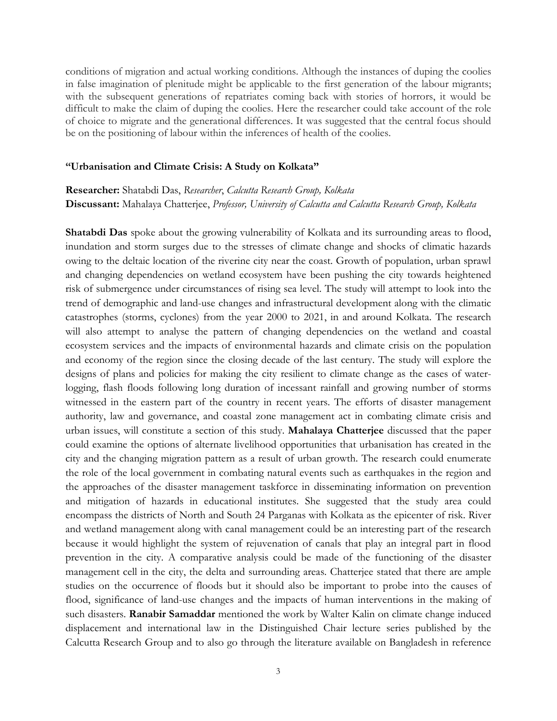conditions of migration and actual working conditions. Although the instances of duping the coolies in false imagination of plenitude might be applicable to the first generation of the labour migrants; with the subsequent generations of repatriates coming back with stories of horrors, it would be difficult to make the claim of duping the coolies. Here the researcher could take account of the role of choice to migrate and the generational differences. It was suggested that the central focus should be on the positioning of labour within the inferences of health of the coolies.

#### "Urbanisation and Climate Crisis: A Study on Kolkata"

## Researcher: Shatabdi Das, Researcher, Calcutta Research Group, Kolkata Discussant: Mahalaya Chatterjee, Professor, University of Calcutta and Calcutta Research Group, Kolkata

Shatabdi Das spoke about the growing vulnerability of Kolkata and its surrounding areas to flood, inundation and storm surges due to the stresses of climate change and shocks of climatic hazards owing to the deltaic location of the riverine city near the coast. Growth of population, urban sprawl and changing dependencies on wetland ecosystem have been pushing the city towards heightened risk of submergence under circumstances of rising sea level. The study will attempt to look into the trend of demographic and land-use changes and infrastructural development along with the climatic catastrophes (storms, cyclones) from the year 2000 to 2021, in and around Kolkata. The research will also attempt to analyse the pattern of changing dependencies on the wetland and coastal ecosystem services and the impacts of environmental hazards and climate crisis on the population and economy of the region since the closing decade of the last century. The study will explore the designs of plans and policies for making the city resilient to climate change as the cases of waterlogging, flash floods following long duration of incessant rainfall and growing number of storms witnessed in the eastern part of the country in recent years. The efforts of disaster management authority, law and governance, and coastal zone management act in combating climate crisis and urban issues, will constitute a section of this study. Mahalaya Chatterjee discussed that the paper could examine the options of alternate livelihood opportunities that urbanisation has created in the city and the changing migration pattern as a result of urban growth. The research could enumerate the role of the local government in combating natural events such as earthquakes in the region and the approaches of the disaster management taskforce in disseminating information on prevention and mitigation of hazards in educational institutes. She suggested that the study area could encompass the districts of North and South 24 Parganas with Kolkata as the epicenter of risk. River and wetland management along with canal management could be an interesting part of the research because it would highlight the system of rejuvenation of canals that play an integral part in flood prevention in the city. A comparative analysis could be made of the functioning of the disaster management cell in the city, the delta and surrounding areas. Chatterjee stated that there are ample studies on the occurrence of floods but it should also be important to probe into the causes of flood, significance of land-use changes and the impacts of human interventions in the making of such disasters. Ranabir Samaddar mentioned the work by Walter Kalin on climate change induced displacement and international law in the Distinguished Chair lecture series published by the Calcutta Research Group and to also go through the literature available on Bangladesh in reference